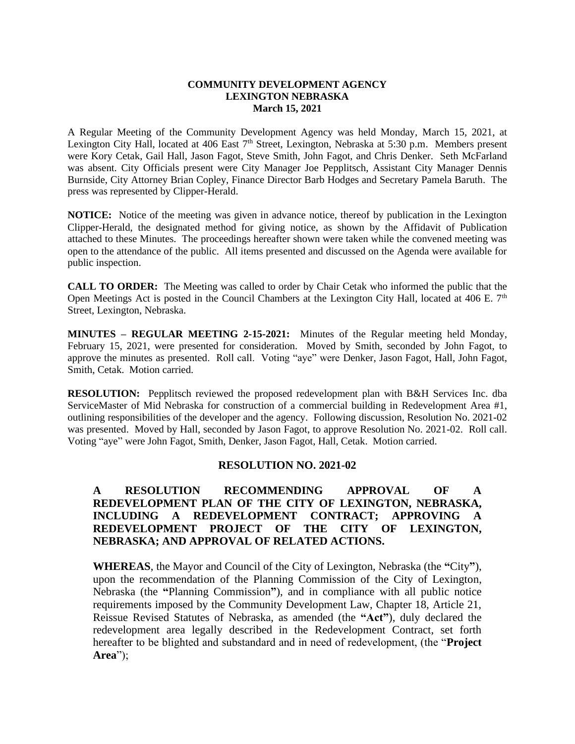#### **COMMUNITY DEVELOPMENT AGENCY LEXINGTON NEBRASKA March 15, 2021**

A Regular Meeting of the Community Development Agency was held Monday, March 15, 2021, at Lexington City Hall, located at 406 East 7<sup>th</sup> Street, Lexington, Nebraska at 5:30 p.m. Members present were Kory Cetak, Gail Hall, Jason Fagot, Steve Smith, John Fagot, and Chris Denker. Seth McFarland was absent. City Officials present were City Manager Joe Pepplitsch, Assistant City Manager Dennis Burnside, City Attorney Brian Copley, Finance Director Barb Hodges and Secretary Pamela Baruth. The press was represented by Clipper-Herald.

**NOTICE:** Notice of the meeting was given in advance notice, thereof by publication in the Lexington Clipper-Herald, the designated method for giving notice, as shown by the Affidavit of Publication attached to these Minutes. The proceedings hereafter shown were taken while the convened meeting was open to the attendance of the public. All items presented and discussed on the Agenda were available for public inspection.

**CALL TO ORDER:** The Meeting was called to order by Chair Cetak who informed the public that the Open Meetings Act is posted in the Council Chambers at the Lexington City Hall, located at 406 E. 7<sup>th</sup> Street, Lexington, Nebraska.

**MINUTES – REGULAR MEETING 2-15-2021:** Minutes of the Regular meeting held Monday, February 15, 2021, were presented for consideration. Moved by Smith, seconded by John Fagot, to approve the minutes as presented. Roll call. Voting "aye" were Denker, Jason Fagot, Hall, John Fagot, Smith, Cetak. Motion carried.

**RESOLUTION:** Pepplitsch reviewed the proposed redevelopment plan with B&H Services Inc. dba ServiceMaster of Mid Nebraska for construction of a commercial building in Redevelopment Area #1, outlining responsibilities of the developer and the agency. Following discussion, Resolution No. 2021-02 was presented. Moved by Hall, seconded by Jason Fagot, to approve Resolution No. 2021-02. Roll call. Voting "aye" were John Fagot, Smith, Denker, Jason Fagot, Hall, Cetak. Motion carried.

## **RESOLUTION NO. 2021-02**

# **A RESOLUTION RECOMMENDING APPROVAL OF A REDEVELOPMENT PLAN OF THE CITY OF LEXINGTON, NEBRASKA, INCLUDING A REDEVELOPMENT CONTRACT; APPROVING A REDEVELOPMENT PROJECT OF THE CITY OF LEXINGTON, NEBRASKA; AND APPROVAL OF RELATED ACTIONS.**

**WHEREAS**, the Mayor and Council of the City of Lexington, Nebraska (the **"**City**"**), upon the recommendation of the Planning Commission of the City of Lexington, Nebraska (the **"**Planning Commission**"**), and in compliance with all public notice requirements imposed by the Community Development Law, Chapter 18, Article 21, Reissue Revised Statutes of Nebraska, as amended (the **"Act"**), duly declared the redevelopment area legally described in the Redevelopment Contract, set forth hereafter to be blighted and substandard and in need of redevelopment, (the "**Project Area**");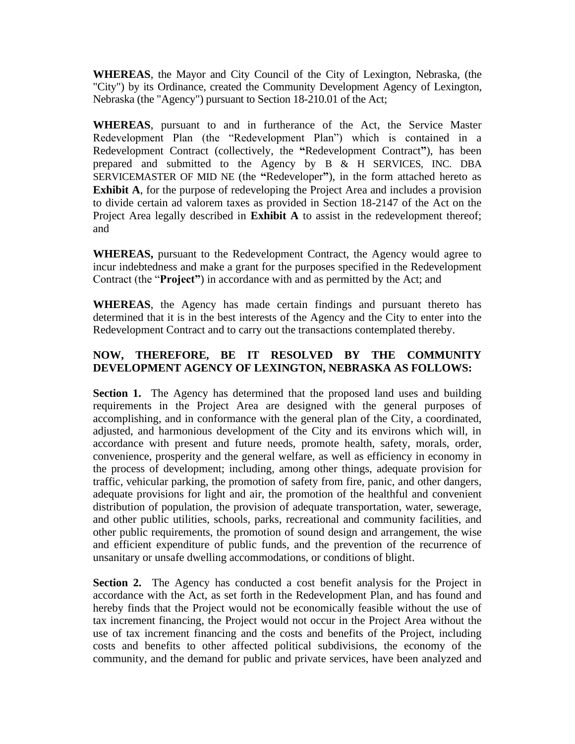**WHEREAS**, the Mayor and City Council of the City of Lexington, Nebraska, (the "City") by its Ordinance, created the Community Development Agency of Lexington, Nebraska (the "Agency") pursuant to Section 18-210.01 of the Act;

**WHEREAS**, pursuant to and in furtherance of the Act, the Service Master Redevelopment Plan (the "Redevelopment Plan") which is contained in a Redevelopment Contract (collectively, the **"**Redevelopment Contract**"**), has been prepared and submitted to the Agency by B & H SERVICES, INC. DBA SERVICEMASTER OF MID NE (the **"**Redeveloper**"**), in the form attached hereto as **Exhibit A**, for the purpose of redeveloping the Project Area and includes a provision to divide certain ad valorem taxes as provided in Section 18-2147 of the Act on the Project Area legally described in **Exhibit A** to assist in the redevelopment thereof; and

**WHEREAS,** pursuant to the Redevelopment Contract, the Agency would agree to incur indebtedness and make a grant for the purposes specified in the Redevelopment Contract (the "**Project"**) in accordance with and as permitted by the Act; and

**WHEREAS**, the Agency has made certain findings and pursuant thereto has determined that it is in the best interests of the Agency and the City to enter into the Redevelopment Contract and to carry out the transactions contemplated thereby.

# **NOW, THEREFORE, BE IT RESOLVED BY THE COMMUNITY DEVELOPMENT AGENCY OF LEXINGTON, NEBRASKA AS FOLLOWS:**

**Section 1.** The Agency has determined that the proposed land uses and building requirements in the Project Area are designed with the general purposes of accomplishing, and in conformance with the general plan of the City, a coordinated, adjusted, and harmonious development of the City and its environs which will, in accordance with present and future needs, promote health, safety, morals, order, convenience, prosperity and the general welfare, as well as efficiency in economy in the process of development; including, among other things, adequate provision for traffic, vehicular parking, the promotion of safety from fire, panic, and other dangers, adequate provisions for light and air, the promotion of the healthful and convenient distribution of population, the provision of adequate transportation, water, sewerage, and other public utilities, schools, parks, recreational and community facilities, and other public requirements, the promotion of sound design and arrangement, the wise and efficient expenditure of public funds, and the prevention of the recurrence of unsanitary or unsafe dwelling accommodations, or conditions of blight.

**Section 2.** The Agency has conducted a cost benefit analysis for the Project in accordance with the Act, as set forth in the Redevelopment Plan, and has found and hereby finds that the Project would not be economically feasible without the use of tax increment financing, the Project would not occur in the Project Area without the use of tax increment financing and the costs and benefits of the Project, including costs and benefits to other affected political subdivisions, the economy of the community, and the demand for public and private services, have been analyzed and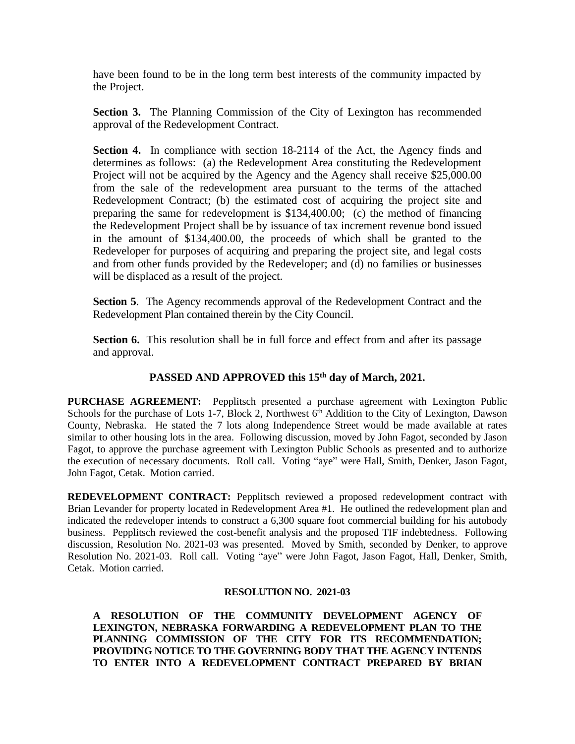have been found to be in the long term best interests of the community impacted by the Project.

**Section 3.** The Planning Commission of the City of Lexington has recommended approval of the Redevelopment Contract.

**Section 4.** In compliance with section 18-2114 of the Act, the Agency finds and determines as follows: (a) the Redevelopment Area constituting the Redevelopment Project will not be acquired by the Agency and the Agency shall receive \$25,000.00 from the sale of the redevelopment area pursuant to the terms of the attached Redevelopment Contract; (b) the estimated cost of acquiring the project site and preparing the same for redevelopment is \$134,400.00; (c) the method of financing the Redevelopment Project shall be by issuance of tax increment revenue bond issued in the amount of \$134,400.00, the proceeds of which shall be granted to the Redeveloper for purposes of acquiring and preparing the project site, and legal costs and from other funds provided by the Redeveloper; and (d) no families or businesses will be displaced as a result of the project.

**Section 5**. The Agency recommends approval of the Redevelopment Contract and the Redevelopment Plan contained therein by the City Council.

**Section 6.** This resolution shall be in full force and effect from and after its passage and approval.

## **PASSED AND APPROVED this 15th day of March, 2021.**

**PURCHASE AGREEMENT:** Pepplitsch presented a purchase agreement with Lexington Public Schools for the purchase of Lots 1-7, Block 2, Northwest  $6<sup>th</sup>$  Addition to the City of Lexington, Dawson County, Nebraska. He stated the 7 lots along Independence Street would be made available at rates similar to other housing lots in the area. Following discussion, moved by John Fagot, seconded by Jason Fagot, to approve the purchase agreement with Lexington Public Schools as presented and to authorize the execution of necessary documents. Roll call. Voting "aye" were Hall, Smith, Denker, Jason Fagot, John Fagot, Cetak. Motion carried.

**REDEVELOPMENT CONTRACT:** Pepplitsch reviewed a proposed redevelopment contract with Brian Levander for property located in Redevelopment Area #1. He outlined the redevelopment plan and indicated the redeveloper intends to construct a 6,300 square foot commercial building for his autobody business. Pepplitsch reviewed the cost-benefit analysis and the proposed TIF indebtedness. Following discussion, Resolution No. 2021-03 was presented. Moved by Smith, seconded by Denker, to approve Resolution No. 2021-03. Roll call. Voting "aye" were John Fagot, Jason Fagot, Hall, Denker, Smith, Cetak. Motion carried.

#### **RESOLUTION NO. 2021-03**

**A RESOLUTION OF THE COMMUNITY DEVELOPMENT AGENCY OF LEXINGTON, NEBRASKA FORWARDING A REDEVELOPMENT PLAN TO THE PLANNING COMMISSION OF THE CITY FOR ITS RECOMMENDATION; PROVIDING NOTICE TO THE GOVERNING BODY THAT THE AGENCY INTENDS TO ENTER INTO A REDEVELOPMENT CONTRACT PREPARED BY BRIAN**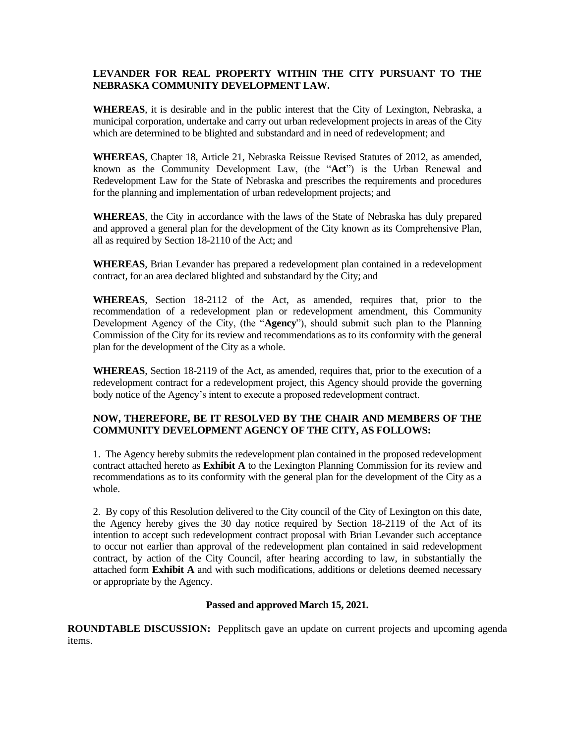### **LEVANDER FOR REAL PROPERTY WITHIN THE CITY PURSUANT TO THE NEBRASKA COMMUNITY DEVELOPMENT LAW.**

**WHEREAS**, it is desirable and in the public interest that the City of Lexington, Nebraska, a municipal corporation, undertake and carry out urban redevelopment projects in areas of the City which are determined to be blighted and substandard and in need of redevelopment; and

**WHEREAS**, Chapter 18, Article 21, Nebraska Reissue Revised Statutes of 2012, as amended, known as the Community Development Law, (the "**Act**") is the Urban Renewal and Redevelopment Law for the State of Nebraska and prescribes the requirements and procedures for the planning and implementation of urban redevelopment projects; and

**WHEREAS**, the City in accordance with the laws of the State of Nebraska has duly prepared and approved a general plan for the development of the City known as its Comprehensive Plan, all as required by Section 18-2110 of the Act; and

**WHEREAS**, Brian Levander has prepared a redevelopment plan contained in a redevelopment contract, for an area declared blighted and substandard by the City; and

**WHEREAS**, Section 18-2112 of the Act, as amended, requires that, prior to the recommendation of a redevelopment plan or redevelopment amendment, this Community Development Agency of the City, (the "**Agency**"), should submit such plan to the Planning Commission of the City for its review and recommendations as to its conformity with the general plan for the development of the City as a whole.

**WHEREAS**, Section 18-2119 of the Act, as amended, requires that, prior to the execution of a redevelopment contract for a redevelopment project, this Agency should provide the governing body notice of the Agency's intent to execute a proposed redevelopment contract.

## **NOW, THEREFORE, BE IT RESOLVED BY THE CHAIR AND MEMBERS OF THE COMMUNITY DEVELOPMENT AGENCY OF THE CITY, AS FOLLOWS:**

1. The Agency hereby submits the redevelopment plan contained in the proposed redevelopment contract attached hereto as **Exhibit A** to the Lexington Planning Commission for its review and recommendations as to its conformity with the general plan for the development of the City as a whole.

2. By copy of this Resolution delivered to the City council of the City of Lexington on this date, the Agency hereby gives the 30 day notice required by Section 18-2119 of the Act of its intention to accept such redevelopment contract proposal with Brian Levander such acceptance to occur not earlier than approval of the redevelopment plan contained in said redevelopment contract, by action of the City Council, after hearing according to law, in substantially the attached form **Exhibit A** and with such modifications, additions or deletions deemed necessary or appropriate by the Agency.

### **Passed and approved March 15, 2021.**

**ROUNDTABLE DISCUSSION:** Pepplitsch gave an update on current projects and upcoming agenda items.